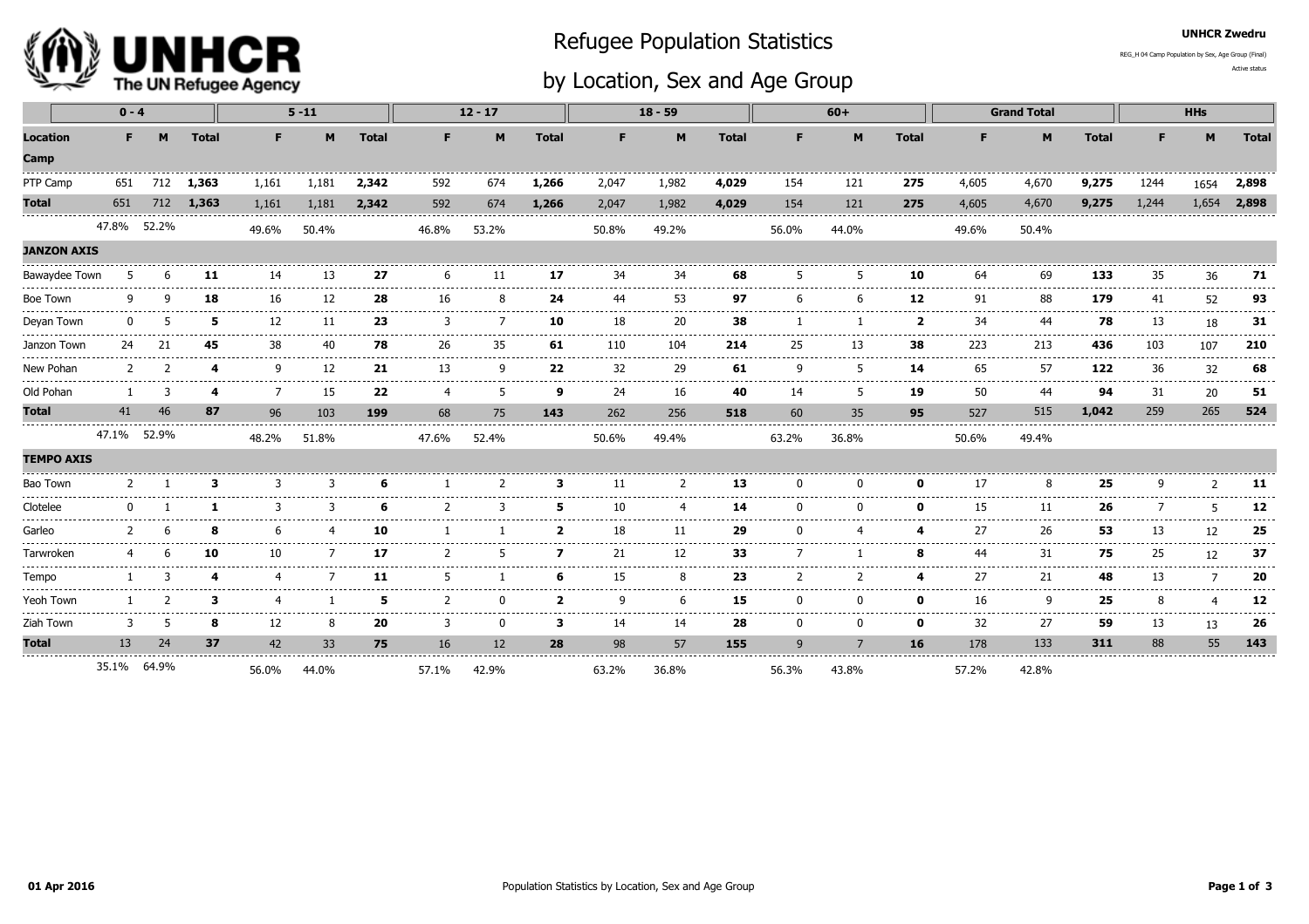

## Refugee Population Statistics

## by Location, Sex and Age Group

UNHCR Zwedru

Active statusREG\_H 04 Camp Population by Sex, Age Group (Final)

| $0 - 4$                         |             |    |              |                | $5 - 11$     |              | $12 - 17$    |         |                                                                                                                                                                                                                                                                                                                                                                                                    | $18 - 59$      |                 |                |       | $60+$                      |                          |                                                                                                                                                                                                                                                                                                                                                                                                                                                                                   | <b>Grand Total</b>                                                                                                                                                                                                                                                                                                                                                                                                                                                                           |              | <b>HHs</b>    |                                     |                                                                                                                                                                                                                                                                                                                                                                                                     |
|---------------------------------|-------------|----|--------------|----------------|--------------|--------------|--------------|---------|----------------------------------------------------------------------------------------------------------------------------------------------------------------------------------------------------------------------------------------------------------------------------------------------------------------------------------------------------------------------------------------------------|----------------|-----------------|----------------|-------|----------------------------|--------------------------|-----------------------------------------------------------------------------------------------------------------------------------------------------------------------------------------------------------------------------------------------------------------------------------------------------------------------------------------------------------------------------------------------------------------------------------------------------------------------------------|----------------------------------------------------------------------------------------------------------------------------------------------------------------------------------------------------------------------------------------------------------------------------------------------------------------------------------------------------------------------------------------------------------------------------------------------------------------------------------------------|--------------|---------------|-------------------------------------|-----------------------------------------------------------------------------------------------------------------------------------------------------------------------------------------------------------------------------------------------------------------------------------------------------------------------------------------------------------------------------------------------------|
| <b>Location</b><br>Camp         | F.          | M  | <b>Total</b> | F.             | M            | <b>Total</b> | F.           | M       | <b>Total</b>                                                                                                                                                                                                                                                                                                                                                                                       | F.             | M               | <b>Total</b>   | F.    | M                          | <b>Total</b>             | F                                                                                                                                                                                                                                                                                                                                                                                                                                                                                 | M                                                                                                                                                                                                                                                                                                                                                                                                                                                                                            | <b>Total</b> | F.            | M                                   | <b>Total</b>                                                                                                                                                                                                                                                                                                                                                                                        |
| PTP Camp                        | 651         |    | 712 1,363    | 1,161          | 1,181        | 2,342        | 592          | 674     | 1,266                                                                                                                                                                                                                                                                                                                                                                                              | 2,047          | 1,982           | 4,029          | 154   | 121                        | 275                      | 4,605                                                                                                                                                                                                                                                                                                                                                                                                                                                                             | 4,670                                                                                                                                                                                                                                                                                                                                                                                                                                                                                        | 9,275        | 1244          | 1654                                | 2,898                                                                                                                                                                                                                                                                                                                                                                                               |
| <b>Total</b>                    | 651         |    | 712 1,363    | 1,161          | 1,181        | 2,342        | 592          | 674     | 1,266                                                                                                                                                                                                                                                                                                                                                                                              | 2,047          | 1,982           | 4,029          | 154   | 121                        | 275                      | 4,605                                                                                                                                                                                                                                                                                                                                                                                                                                                                             | 4,670                                                                                                                                                                                                                                                                                                                                                                                                                                                                                        | 9,275        | 1,244         | 1,654                               | 2,898                                                                                                                                                                                                                                                                                                                                                                                               |
|                                 | 47.8% 52.2% |    |              | 49.6%          | 50.4%        |              | 46.8%        | 53.2%   |                                                                                                                                                                                                                                                                                                                                                                                                    | 50.8%          | 49.2%           |                | 56.0% | 44.0%                      |                          | 49.6%                                                                                                                                                                                                                                                                                                                                                                                                                                                                             | 50.4%                                                                                                                                                                                                                                                                                                                                                                                                                                                                                        |              |               |                                     |                                                                                                                                                                                                                                                                                                                                                                                                     |
| <b>JANZON AXIS</b>              |             |    |              |                |              |              |              |         |                                                                                                                                                                                                                                                                                                                                                                                                    |                |                 |                |       |                            |                          |                                                                                                                                                                                                                                                                                                                                                                                                                                                                                   |                                                                                                                                                                                                                                                                                                                                                                                                                                                                                              |              |               |                                     |                                                                                                                                                                                                                                                                                                                                                                                                     |
| Bawaydee Town                   |             |    | 11           | 14<br>-----    | 13           | 27           |              | 11      | 17                                                                                                                                                                                                                                                                                                                                                                                                 | 34             | 34<br>$- - - -$ | 68             |       |                            | 10                       | 64                                                                                                                                                                                                                                                                                                                                                                                                                                                                                | 69                                                                                                                                                                                                                                                                                                                                                                                                                                                                                           | 133          | 35            | 36                                  | 71                                                                                                                                                                                                                                                                                                                                                                                                  |
| Boe Town                        |             | a  | 18           | 16<br>-----    | 12<br>------ | 28           | 16           |         | 24<br>.                                                                                                                                                                                                                                                                                                                                                                                            | 44             | 53<br>$- - - -$ | 97             | 6     |                            | 12                       | 91<br>-----                                                                                                                                                                                                                                                                                                                                                                                                                                                                       | 88<br>------                                                                                                                                                                                                                                                                                                                                                                                                                                                                                 | 179          | 41            | 52<br>------                        | 93                                                                                                                                                                                                                                                                                                                                                                                                  |
| Devan Town                      |             |    | 5            | 12<br>------   | 11<br>.      | 23           | ्र<br>.      |         | 10<br>----                                                                                                                                                                                                                                                                                                                                                                                         | 18             | 20<br>.         | 38             |       |                            | $\overline{\phantom{a}}$ | 34<br>.                                                                                                                                                                                                                                                                                                                                                                                                                                                                           | 44<br>------                                                                                                                                                                                                                                                                                                                                                                                                                                                                                 | 78<br>----   | 13            | 18                                  | 31<br>------                                                                                                                                                                                                                                                                                                                                                                                        |
| Janzon Town                     | 24          | 21 | 45           | 38<br>-------  | 40<br>-----  | 78           | 26<br>.      | 35<br>. | 61<br>$\frac{1}{2} \frac{1}{2} \frac{1}{2} \frac{1}{2} \frac{1}{2} \frac{1}{2} \frac{1}{2} \frac{1}{2} \frac{1}{2} \frac{1}{2} \frac{1}{2} \frac{1}{2} \frac{1}{2} \frac{1}{2} \frac{1}{2} \frac{1}{2} \frac{1}{2} \frac{1}{2} \frac{1}{2} \frac{1}{2} \frac{1}{2} \frac{1}{2} \frac{1}{2} \frac{1}{2} \frac{1}{2} \frac{1}{2} \frac{1}{2} \frac{1}{2} \frac{1}{2} \frac{1}{2} \frac{1}{2} \frac{$ | 110            | 104<br>.        | 214            | 25    | 13                         | 38<br>-----              | 223<br>$\frac{1}{2} \left( \frac{1}{2} \right) \left( \frac{1}{2} \right) \left( \frac{1}{2} \right) \left( \frac{1}{2} \right) \left( \frac{1}{2} \right) \left( \frac{1}{2} \right) \left( \frac{1}{2} \right) \left( \frac{1}{2} \right) \left( \frac{1}{2} \right) \left( \frac{1}{2} \right) \left( \frac{1}{2} \right) \left( \frac{1}{2} \right) \left( \frac{1}{2} \right) \left( \frac{1}{2} \right) \left( \frac{1}{2} \right) \left( \frac{1}{2} \right) \left( \frac$ | 213<br>$\frac{1}{2} \left( \frac{1}{2} \right) \left( \frac{1}{2} \right) \left( \frac{1}{2} \right) \left( \frac{1}{2} \right) \left( \frac{1}{2} \right) \left( \frac{1}{2} \right) \left( \frac{1}{2} \right) \left( \frac{1}{2} \right) \left( \frac{1}{2} \right) \left( \frac{1}{2} \right) \left( \frac{1}{2} \right) \left( \frac{1}{2} \right) \left( \frac{1}{2} \right) \left( \frac{1}{2} \right) \left( \frac{1}{2} \right) \left( \frac{1}{2} \right) \left( \frac$            | 436<br>----- | 103           | 107<br>-------                      | 210<br>$\frac{1}{2} \frac{1}{2} \frac{1}{2} \frac{1}{2} \frac{1}{2} \frac{1}{2} \frac{1}{2} \frac{1}{2} \frac{1}{2} \frac{1}{2} \frac{1}{2} \frac{1}{2} \frac{1}{2} \frac{1}{2} \frac{1}{2} \frac{1}{2} \frac{1}{2} \frac{1}{2} \frac{1}{2} \frac{1}{2} \frac{1}{2} \frac{1}{2} \frac{1}{2} \frac{1}{2} \frac{1}{2} \frac{1}{2} \frac{1}{2} \frac{1}{2} \frac{1}{2} \frac{1}{2} \frac{1}{2} \frac{$ |
| New Pohan                       | 2           | ר  | 4            | -9<br>-------  | 12<br>-----  | 21<br>-----  | 13<br>------ | Q       | 22                                                                                                                                                                                                                                                                                                                                                                                                 | 32<br>-------- | 29<br>.         | 61<br>-------- | 9     | 5<br>------------<br>----- | 14<br>.                  | 65<br>------                                                                                                                                                                                                                                                                                                                                                                                                                                                                      | 57<br>$\begin{array}{cccccccccccccc} \multicolumn{2}{c}{} & \multicolumn{2}{c}{} & \multicolumn{2}{c}{} & \multicolumn{2}{c}{} & \multicolumn{2}{c}{} & \multicolumn{2}{c}{} & \multicolumn{2}{c}{} & \multicolumn{2}{c}{} & \multicolumn{2}{c}{} & \multicolumn{2}{c}{} & \multicolumn{2}{c}{} & \multicolumn{2}{c}{} & \multicolumn{2}{c}{} & \multicolumn{2}{c}{} & \multicolumn{2}{c}{} & \multicolumn{2}{c}{} & \multicolumn{2}{c}{} & \multicolumn{2}{c}{} & \multicolumn{2}{c}{} & \$ | 122<br>.     | 36<br>------- | 32<br>--------                      | 68<br>-------                                                                                                                                                                                                                                                                                                                                                                                       |
| Old Pohan                       |             |    |              | $\overline{7}$ | 15           | 22           |              |         | 9                                                                                                                                                                                                                                                                                                                                                                                                  | 24             | 16              | 40             | 14    | 5                          | 19                       | 50                                                                                                                                                                                                                                                                                                                                                                                                                                                                                | 44                                                                                                                                                                                                                                                                                                                                                                                                                                                                                           | 94           | 31            | 20                                  | 51                                                                                                                                                                                                                                                                                                                                                                                                  |
| <b>Total</b><br>.               | 41          | 46 | 87           | 96             | 103          | 199          | 68           | 75      | 143                                                                                                                                                                                                                                                                                                                                                                                                | 262            | 256             | 518            | 60    | 35                         | 95                       | 527                                                                                                                                                                                                                                                                                                                                                                                                                                                                               | 515                                                                                                                                                                                                                                                                                                                                                                                                                                                                                          | 1,042        | 259           | 265                                 | 524                                                                                                                                                                                                                                                                                                                                                                                                 |
|                                 | 47.1% 52.9% |    |              | 48.2%          | 51.8%        |              | 47.6%        | 52.4%   |                                                                                                                                                                                                                                                                                                                                                                                                    | 50.6%          | 49.4%           |                | 63.2% | 36.8%                      |                          | 50.6%                                                                                                                                                                                                                                                                                                                                                                                                                                                                             | 49.4%                                                                                                                                                                                                                                                                                                                                                                                                                                                                                        |              |               |                                     |                                                                                                                                                                                                                                                                                                                                                                                                     |
| <b>TEMPO AXIS</b>               |             |    |              |                |              |              |              |         |                                                                                                                                                                                                                                                                                                                                                                                                    |                |                 |                |       |                            |                          |                                                                                                                                                                                                                                                                                                                                                                                                                                                                                   |                                                                                                                                                                                                                                                                                                                                                                                                                                                                                              |              |               |                                     |                                                                                                                                                                                                                                                                                                                                                                                                     |
| Bao Town                        |             |    |              |                |              |              |              |         |                                                                                                                                                                                                                                                                                                                                                                                                    | 11             |                 | 13             |       |                            |                          | 17                                                                                                                                                                                                                                                                                                                                                                                                                                                                                | 8                                                                                                                                                                                                                                                                                                                                                                                                                                                                                            | 25           |               |                                     | 11                                                                                                                                                                                                                                                                                                                                                                                                  |
| Clotelee                        |             |    |              |                |              |              |              |         |                                                                                                                                                                                                                                                                                                                                                                                                    | 10             |                 | 14             |       |                            | n                        | 15                                                                                                                                                                                                                                                                                                                                                                                                                                                                                | 11                                                                                                                                                                                                                                                                                                                                                                                                                                                                                           | 26           |               | 5                                   | 12                                                                                                                                                                                                                                                                                                                                                                                                  |
| Garleo                          |             |    |              |                |              | 10           |              |         |                                                                                                                                                                                                                                                                                                                                                                                                    | 18             | 11              | 29             |       |                            |                          | 27                                                                                                                                                                                                                                                                                                                                                                                                                                                                                | 26                                                                                                                                                                                                                                                                                                                                                                                                                                                                                           | 53           | 13            | 12                                  | 25                                                                                                                                                                                                                                                                                                                                                                                                  |
| Tarwroken                       |             |    | 10           | 10             |              | 17           |              |         |                                                                                                                                                                                                                                                                                                                                                                                                    | 21             | 12              | 33             |       |                            | 8                        | 44                                                                                                                                                                                                                                                                                                                                                                                                                                                                                | 31                                                                                                                                                                                                                                                                                                                                                                                                                                                                                           | 75           | 25            | 12                                  | 37<br>.                                                                                                                                                                                                                                                                                                                                                                                             |
| Tempo<br>---------------------- |             |    |              |                |              | 11           |              |         |                                                                                                                                                                                                                                                                                                                                                                                                    | 15             |                 | 23<br>------   |       |                            |                          | 27<br>-----                                                                                                                                                                                                                                                                                                                                                                                                                                                                       | 21                                                                                                                                                                                                                                                                                                                                                                                                                                                                                           | 48<br>------ | 13            | $\overline{ }$                      | 20<br>--------                                                                                                                                                                                                                                                                                                                                                                                      |
| Yeoh Town                       |             |    |              | -------        |              |              |              | n       | $\overline{\mathbf{2}}$                                                                                                                                                                                                                                                                                                                                                                            | 9<br>.         | 6<br>------     | 15<br>.        | n     | n<br>.                     | ŋ                        | 16<br>.                                                                                                                                                                                                                                                                                                                                                                                                                                                                           | q<br>------------                                                                                                                                                                                                                                                                                                                                                                                                                                                                            | 25<br>.      | 8             | Δ<br>------------------------------ | 12                                                                                                                                                                                                                                                                                                                                                                                                  |
| Ziah Town                       |             |    |              | 12             | 8            | 20           |              |         | з                                                                                                                                                                                                                                                                                                                                                                                                  | 14             | 14              | 28             | n     | n                          | n                        | 32                                                                                                                                                                                                                                                                                                                                                                                                                                                                                | 27                                                                                                                                                                                                                                                                                                                                                                                                                                                                                           | 59           | 13            | 13                                  | 26                                                                                                                                                                                                                                                                                                                                                                                                  |
| <b>Total</b><br>.               | 13          | 24 | 37           | 42             | 33           | 75           | 16           | 12      | 28                                                                                                                                                                                                                                                                                                                                                                                                 | 98             | 57              | 155            | 9     | $\overline{7}$             | 16                       | 178                                                                                                                                                                                                                                                                                                                                                                                                                                                                               | 133                                                                                                                                                                                                                                                                                                                                                                                                                                                                                          | 311          | 88            | 55                                  | 143                                                                                                                                                                                                                                                                                                                                                                                                 |
|                                 | 35.1% 64.9% |    |              | 56.0%          | 44.0%        |              | 57.1%        | 42.9%   |                                                                                                                                                                                                                                                                                                                                                                                                    | 63.2%          | 36.8%           |                | 56.3% | 43.8%                      |                          | 57.2%                                                                                                                                                                                                                                                                                                                                                                                                                                                                             | 42.8%                                                                                                                                                                                                                                                                                                                                                                                                                                                                                        |              |               |                                     |                                                                                                                                                                                                                                                                                                                                                                                                     |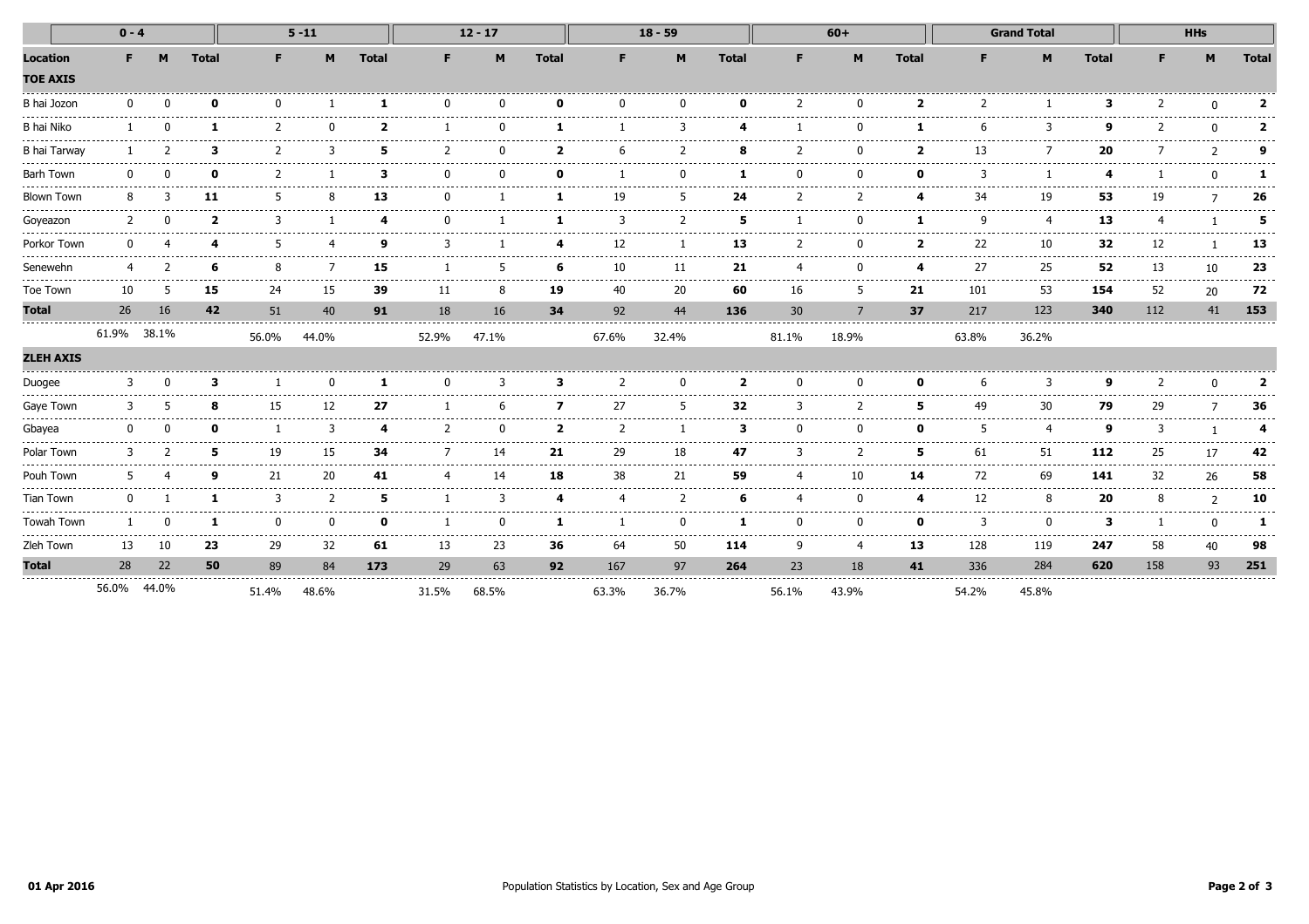|                                                        | $0 - 4$     |       |               |                   | $5 - 11$                                                                                                                                                                                                                                                                                                                                                                                           |               |          | $12 - 17$                              |                |                 | $18 - 59$      |                  |          | $60+$                    |                                                                                                                                                                                                                                                                                                                                                                                                                                                                                 |               | <b>Grand Total</b>        |                    | <b>HHs</b>     |               |               |
|--------------------------------------------------------|-------------|-------|---------------|-------------------|----------------------------------------------------------------------------------------------------------------------------------------------------------------------------------------------------------------------------------------------------------------------------------------------------------------------------------------------------------------------------------------------------|---------------|----------|----------------------------------------|----------------|-----------------|----------------|------------------|----------|--------------------------|---------------------------------------------------------------------------------------------------------------------------------------------------------------------------------------------------------------------------------------------------------------------------------------------------------------------------------------------------------------------------------------------------------------------------------------------------------------------------------|---------------|---------------------------|--------------------|----------------|---------------|---------------|
| <b>Location</b><br><b>TOE AXIS</b>                     | F           | M     | <b>Total</b>  | F.                | M                                                                                                                                                                                                                                                                                                                                                                                                  | <b>Total</b>  | F.       | M                                      | <b>Total</b>   | F.              | M              | <b>Total</b>     | F.       | M                        | <b>Total</b>                                                                                                                                                                                                                                                                                                                                                                                                                                                                    | F.            | M                         | <b>Total</b>       | F.             | M             | <b>Total</b>  |
| B hai Jozon                                            |             |       | O             | $\Omega$          |                                                                                                                                                                                                                                                                                                                                                                                                    | -1            | $\Omega$ |                                        | n              | n               | <sup>n</sup>   | ŋ                |          |                          | $\overline{\mathbf{2}}$                                                                                                                                                                                                                                                                                                                                                                                                                                                         |               |                           | в                  |                | $\Omega$      | 2             |
| B hai Niko                                             |             |       |               |                   | . <u>.</u> .                                                                                                                                                                                                                                                                                                                                                                                       | כ             |          |                                        |                |                 |                |                  |          |                          |                                                                                                                                                                                                                                                                                                                                                                                                                                                                                 |               | २                         | o                  |                | $\Omega$      | 2             |
| <b>B</b> hai Tarway                                    |             |       | з             |                   |                                                                                                                                                                                                                                                                                                                                                                                                    | 5             |          |                                        | י              |                 |                |                  |          |                          |                                                                                                                                                                                                                                                                                                                                                                                                                                                                                 | 13            |                           | 20                 |                | $\mathcal{D}$ | a             |
| <b>Barh Town</b><br>---------------------------------- |             |       |               |                   |                                                                                                                                                                                                                                                                                                                                                                                                    | З             |          |                                        |                |                 |                |                  |          |                          | n                                                                                                                                                                                                                                                                                                                                                                                                                                                                               |               |                           |                    |                | $\Omega$      |               |
| <b>Blown Town</b>                                      |             |       | 11            |                   |                                                                                                                                                                                                                                                                                                                                                                                                    | 13            |          |                                        |                | 19              |                | 24               |          |                          | Δ                                                                                                                                                                                                                                                                                                                                                                                                                                                                               | 34            | 19                        | 53                 | 19             |               | 26            |
| Goyeazon                                               |             |       | 2             |                   |                                                                                                                                                                                                                                                                                                                                                                                                    |               |          |                                        |                |                 |                | 5                |          |                          |                                                                                                                                                                                                                                                                                                                                                                                                                                                                                 | q             |                           | 13                 |                |               | 5             |
| Porkor Town                                            |             |       |               |                   |                                                                                                                                                                                                                                                                                                                                                                                                    | q             |          |                                        |                | 12              |                | 13               |          |                          |                                                                                                                                                                                                                                                                                                                                                                                                                                                                                 | 22            | 10                        | 32                 | 12             |               | 13            |
| Senewehn                                               | ------      |       | 6<br>.        | 8<br>.            | .                                                                                                                                                                                                                                                                                                                                                                                                  | 15<br>.       | .        | ---------                              | 6<br>.         | 10<br>--------- | 11<br>.        | 21<br>---------- | ------   | ------                   | Δ<br>$\frac{1}{2} \left( \frac{1}{2} \right) \left( \frac{1}{2} \right) \left( \frac{1}{2} \right) \left( \frac{1}{2} \right) \left( \frac{1}{2} \right) \left( \frac{1}{2} \right) \left( \frac{1}{2} \right) \left( \frac{1}{2} \right) \left( \frac{1}{2} \right) \left( \frac{1}{2} \right) \left( \frac{1}{2} \right) \left( \frac{1}{2} \right) \left( \frac{1}{2} \right) \left( \frac{1}{2} \right) \left( \frac{1}{2} \right) \left( \frac{1}{2} \right) \left( \frac$ | 27<br>.       | 25<br>.                   | 52<br>.            | 13<br>-------- | 10<br>.       | 23<br>------- |
| Toe Town                                               | 10          | 5     | 15            | 24                | 15                                                                                                                                                                                                                                                                                                                                                                                                 | 39            | 11       | 8                                      | 19             | 40              | 20             | 60               | 16       | 5                        | 21                                                                                                                                                                                                                                                                                                                                                                                                                                                                              | 101           | 53                        | 154                | 52             | 20            | 72            |
| <b>Total</b>                                           | 26          | 16    | 42            | 51                | 40                                                                                                                                                                                                                                                                                                                                                                                                 | 91            | 18       | 16                                     | 34             | 92              | 44             | 136              | 30       | 7                        | 37                                                                                                                                                                                                                                                                                                                                                                                                                                                                              | 217           | 123                       | 340                | 112            | 41            | 153           |
| <b>ZLEH AXIS</b>                                       | 61.9% 38.1% |       |               | 56.0%             | 44.0%                                                                                                                                                                                                                                                                                                                                                                                              |               | 52.9%    | 47.1%                                  |                | 67.6%           | 32.4%          |                  | 81.1%    | 18.9%                    |                                                                                                                                                                                                                                                                                                                                                                                                                                                                                 | 63.8%         | 36.2%                     |                    |                |               |               |
| Duogee                                                 | 3           |       | 3             |                   | n                                                                                                                                                                                                                                                                                                                                                                                                  | -1            | $\Omega$ | 3                                      | 3              | 2               | $\Omega$       | $\overline{2}$   | $\Omega$ | U                        | 0                                                                                                                                                                                                                                                                                                                                                                                                                                                                               | 6             | 3                         | a                  | 2              | $\Omega$      |               |
| Gaye Town                                              | 3           |       | 8             | -----<br>15       | 12                                                                                                                                                                                                                                                                                                                                                                                                 | 27            |          |                                        | 7              | 27              | 5              | 32               |          | $\overline{\phantom{a}}$ | 5                                                                                                                                                                                                                                                                                                                                                                                                                                                                               | 49            | 30                        | 79                 | 29             |               | 36            |
| Gbayea                                                 |             |       | ŋ             |                   | 3                                                                                                                                                                                                                                                                                                                                                                                                  | 4             |          | -------------------------------------- | $\overline{2}$ |                 |                | з                | $\Omega$ |                          | <sup>0</sup>                                                                                                                                                                                                                                                                                                                                                                                                                                                                    |               | 4                         | q                  |                |               |               |
| Polar Town                                             |             |       | 5             | 19                | . <u>.</u><br>15                                                                                                                                                                                                                                                                                                                                                                                   | -------<br>34 |          | 14                                     | 21             | 29              | -------<br>18  | ----------<br>47 |          |                          | .<br>5                                                                                                                                                                                                                                                                                                                                                                                                                                                                          | -------<br>61 | --------------<br>51      | .<br>112           | 25             | 17            | 42            |
| Pouh Town                                              |             |       | q             | .<br>21           | $\frac{1}{2} \frac{1}{2} \frac{1}{2} \frac{1}{2} \frac{1}{2} \frac{1}{2} \frac{1}{2} \frac{1}{2} \frac{1}{2} \frac{1}{2} \frac{1}{2} \frac{1}{2} \frac{1}{2} \frac{1}{2} \frac{1}{2} \frac{1}{2} \frac{1}{2} \frac{1}{2} \frac{1}{2} \frac{1}{2} \frac{1}{2} \frac{1}{2} \frac{1}{2} \frac{1}{2} \frac{1}{2} \frac{1}{2} \frac{1}{2} \frac{1}{2} \frac{1}{2} \frac{1}{2} \frac{1}{2} \frac{$<br>20 | 41            |          | 14                                     | 18             | 38              | -----<br>21    | 59               |          | 10                       | 14                                                                                                                                                                                                                                                                                                                                                                                                                                                                              | 72            | .<br>69                   | 141                | 32             | 26            | 58            |
| <b>Tian Town</b>                                       |             |       |               | 3                 | $\overline{2}$                                                                                                                                                                                                                                                                                                                                                                                     | 5             |          | 3                                      |                |                 | $\overline{2}$ |                  |          |                          | 4                                                                                                                                                                                                                                                                                                                                                                                                                                                                               | 12            | 8                         | 20                 |                | $\mathcal{P}$ | 10            |
| Towah Town                                             |             |       | $\frac{1}{2}$ | $\Omega$<br>----- | n<br>-----                                                                                                                                                                                                                                                                                                                                                                                         | $\Omega$      |          |                                        | 1              |                 | $\Omega$<br>.  | 1                | $\Omega$ | ŋ                        | $\mathbf{0}$<br>-----                                                                                                                                                                                                                                                                                                                                                                                                                                                           | 3<br>.        | $\Omega$<br>$- - - - - -$ | 3<br>$\frac{1}{2}$ |                | $\Omega$<br>. | 1<br>.        |
| Zleh Town                                              | 13          | 10    | 23            | 29                | 32                                                                                                                                                                                                                                                                                                                                                                                                 | 61            | 13       | 23                                     | 36             | 64              | 50             | 114              | q        |                          | 13                                                                                                                                                                                                                                                                                                                                                                                                                                                                              | 128           | 119                       | 247                | 58             | 40            | 98            |
| <b>Total</b>                                           | 28          | 22    | 50            | 89                | 84                                                                                                                                                                                                                                                                                                                                                                                                 | 173           | 29       | 63                                     | 92             | 167             | 97             | 264              | 23       | 18                       | 41                                                                                                                                                                                                                                                                                                                                                                                                                                                                              | 336           | 284                       | 620                | 158            | 93            | 251           |
|                                                        | 56.0%       | 44.0% |               | 51.4%             | 48.6%                                                                                                                                                                                                                                                                                                                                                                                              |               | 31.5%    | 68.5%                                  |                | 63.3%           | 36.7%          |                  | 56.1%    | 43.9%                    |                                                                                                                                                                                                                                                                                                                                                                                                                                                                                 | 54.2%         | 45.8%                     |                    |                |               |               |